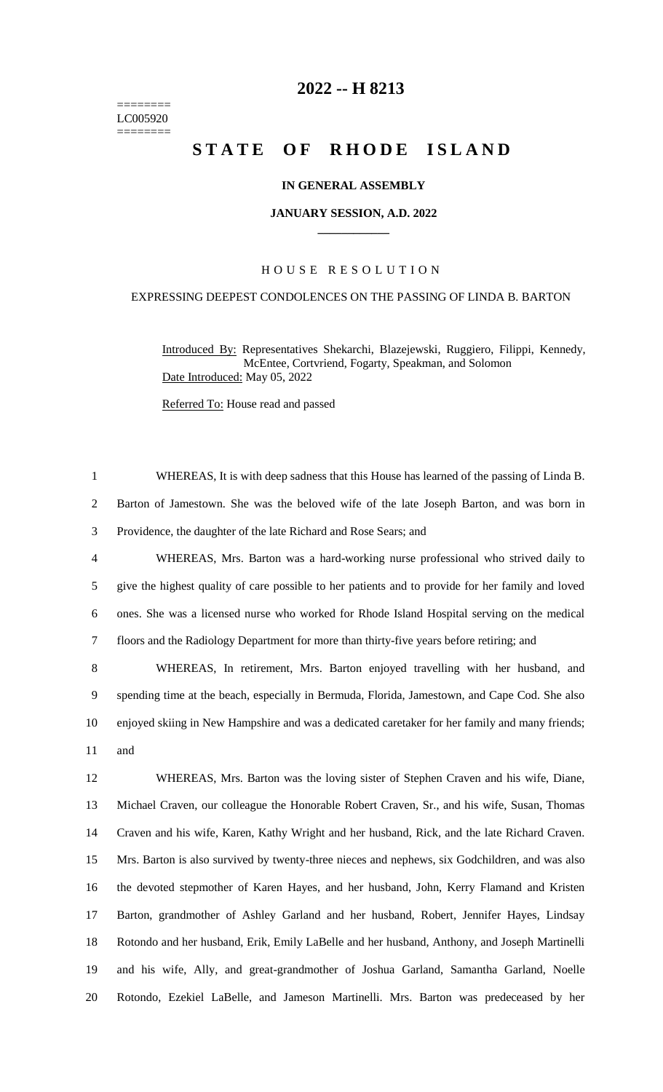======== LC005920 ========

# **-- H 8213**

# **STATE OF RHODE ISLAND**

### **IN GENERAL ASSEMBLY**

#### **JANUARY SESSION, A.D. 2022 \_\_\_\_\_\_\_\_\_\_\_\_**

## H O U S E R E S O L U T I O N

# EXPRESSING DEEPEST CONDOLENCES ON THE PASSING OF LINDA B. BARTON

Introduced By: Representatives Shekarchi, Blazejewski, Ruggiero, Filippi, Kennedy, McEntee, Cortvriend, Fogarty, Speakman, and Solomon Date Introduced: May 05, 2022

Referred To: House read and passed

 WHEREAS, It is with deep sadness that this House has learned of the passing of Linda B. Barton of Jamestown. She was the beloved wife of the late Joseph Barton, and was born in Providence, the daughter of the late Richard and Rose Sears; and WHEREAS, Mrs. Barton was a hard-working nurse professional who strived daily to give the highest quality of care possible to her patients and to provide for her family and loved ones. She was a licensed nurse who worked for Rhode Island Hospital serving on the medical floors and the Radiology Department for more than thirty-five years before retiring; and WHEREAS, In retirement, Mrs. Barton enjoyed travelling with her husband, and spending time at the beach, especially in Bermuda, Florida, Jamestown, and Cape Cod. She also enjoyed skiing in New Hampshire and was a dedicated caretaker for her family and many friends; and WHEREAS, Mrs. Barton was the loving sister of Stephen Craven and his wife, Diane, Michael Craven, our colleague the Honorable Robert Craven, Sr., and his wife, Susan, Thomas Craven and his wife, Karen, Kathy Wright and her husband, Rick, and the late Richard Craven. Mrs. Barton is also survived by twenty-three nieces and nephews, six Godchildren, and was also the devoted stepmother of Karen Hayes, and her husband, John, Kerry Flamand and Kristen Barton, grandmother of Ashley Garland and her husband, Robert, Jennifer Hayes, Lindsay Rotondo and her husband, Erik, Emily LaBelle and her husband, Anthony, and Joseph Martinelli and his wife, Ally, and great-grandmother of Joshua Garland, Samantha Garland, Noelle Rotondo, Ezekiel LaBelle, and Jameson Martinelli. Mrs. Barton was predeceased by her